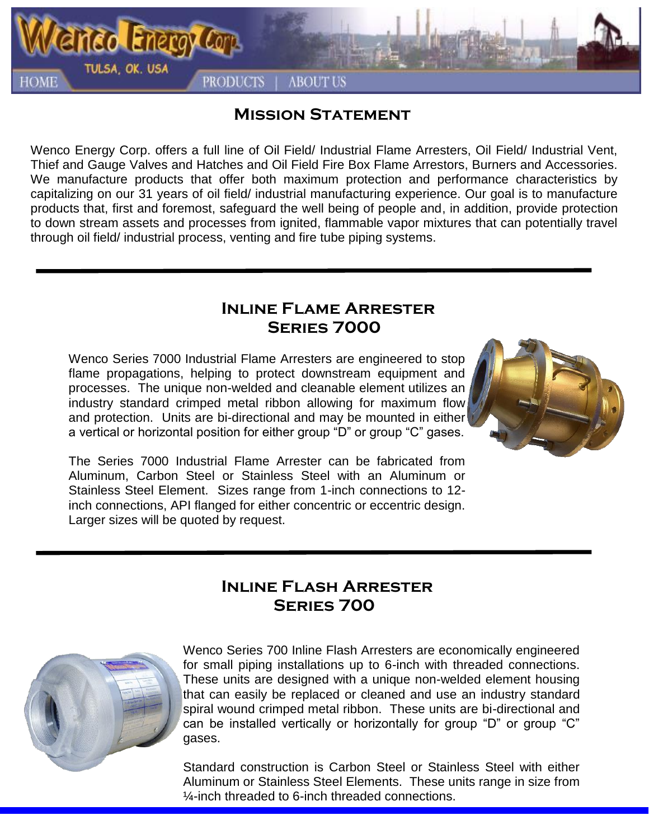

#### **Mission Statement**

Wenco Energy Corp. offers a full line of Oil Field/ Industrial Flame Arresters, Oil Field/ Industrial Vent, Thief and Gauge Valves and Hatches and Oil Field Fire Box Flame Arrestors, Burners and Accessories. We manufacture products that offer both maximum protection and performance characteristics by capitalizing on our 31 years of oil field/ industrial manufacturing experience. Our goal is to manufacture products that, first and foremost, safeguard the well being of people and, in addition, provide protection to down stream assets and processes from ignited, flammable vapor mixtures that can potentially travel through oil field/ industrial process, venting and fire tube piping systems.

#### **Inline Flame Arrester Series 7000**

Wenco Series 7000 Industrial Flame Arresters are engineered to stop flame propagations, helping to protect downstream equipment and processes. The unique non-welded and cleanable element utilizes an industry standard crimped metal ribbon allowing for maximum flow and protection. Units are bi-directional and may be mounted in either a vertical or horizontal position for either group "D" or group "C" gases.



The Series 7000 Industrial Flame Arrester can be fabricated from Aluminum, Carbon Steel or Stainless Steel with an Aluminum or Stainless Steel Element. Sizes range from 1-inch connections to 12 inch connections, API flanged for either concentric or eccentric design. Larger sizes will be quoted by request.

#### **Inline Flash Arrester Series 700**



Wenco Series 700 Inline Flash Arresters are economically engineered for small piping installations up to 6-inch with threaded connections. These units are designed with a unique non-welded element housing that can easily be replaced or cleaned and use an industry standard spiral wound crimped metal ribbon. These units are bi-directional and can be installed vertically or horizontally for group "D" or group "C" gases.

Standard construction is Carbon Steel or Stainless Steel with either Aluminum or Stainless Steel Elements. These units range in size from ¼-inch threaded to 6-inch threaded connections.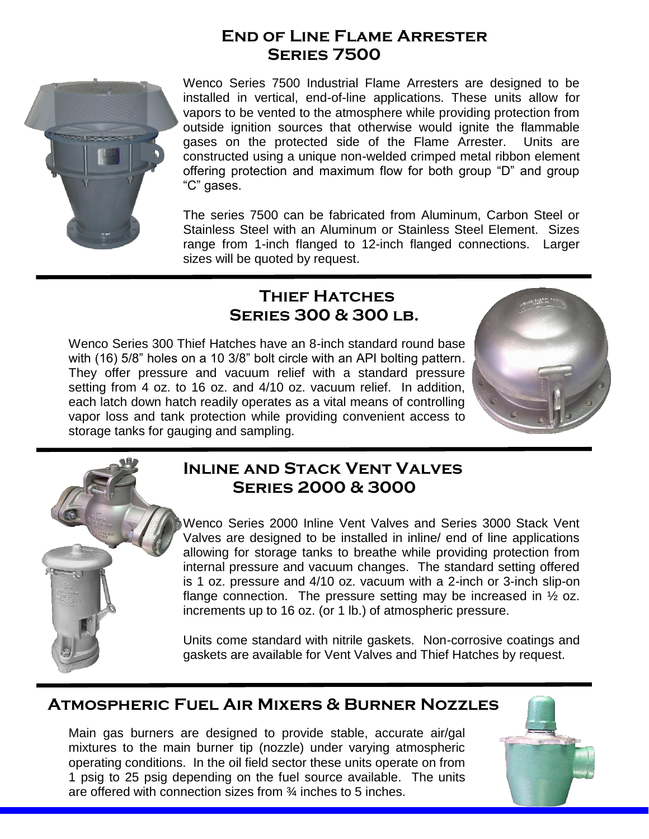## **End of Line Flame Arrester Series 7500**



Wenco Series 7500 Industrial Flame Arresters are designed to be installed in vertical, end-of-line applications. These units allow for vapors to be vented to the atmosphere while providing protection from outside ignition sources that otherwise would ignite the flammable gases on the protected side of the Flame Arrester. Units are constructed using a unique non-welded crimped metal ribbon element offering protection and maximum flow for both group "D" and group "C" gases.

The series 7500 can be fabricated from Aluminum, Carbon Steel or Stainless Steel with an Aluminum or Stainless Steel Element. Sizes range from 1-inch flanged to 12-inch flanged connections. Larger sizes will be quoted by request.

# **Thief Hatches Series 300 & 300 lb.**

Wenco Series 300 Thief Hatches have an 8-inch standard round base with (16) 5/8" holes on a 10 3/8" bolt circle with an API bolting pattern. They offer pressure and vacuum relief with a standard pressure setting from 4 oz. to 16 oz. and 4/10 oz. vacuum relief. In addition, each latch down hatch readily operates as a vital means of controlling vapor loss and tank protection while providing convenient access to storage tanks for gauging and sampling.





## **Inline and Stack Vent Valves Series 2000 & 3000**

Wenco Series 2000 Inline Vent Valves and Series 3000 Stack Vent Valves are designed to be installed in inline/ end of line applications allowing for storage tanks to breathe while providing protection from internal pressure and vacuum changes. The standard setting offered is 1 oz. pressure and 4/10 oz. vacuum with a 2-inch or 3-inch slip-on flange connection. The pressure setting may be increased in  $\frac{1}{2}$  oz. increments up to 16 oz. (or 1 lb.) of atmospheric pressure.

Units come standard with nitrile gaskets. Non-corrosive coatings and gaskets are available for Vent Valves and Thief Hatches by request.

## **Atmospheric Fuel Air Mixers & Burner Nozzles**

Main gas burners are designed to provide stable, accurate air/gal mixtures to the main burner tip (nozzle) under varying atmospheric operating conditions. In the oil field sector these units operate on from 1 psig to 25 psig depending on the fuel source available. The units are offered with connection sizes from ¾ inches to 5 inches.

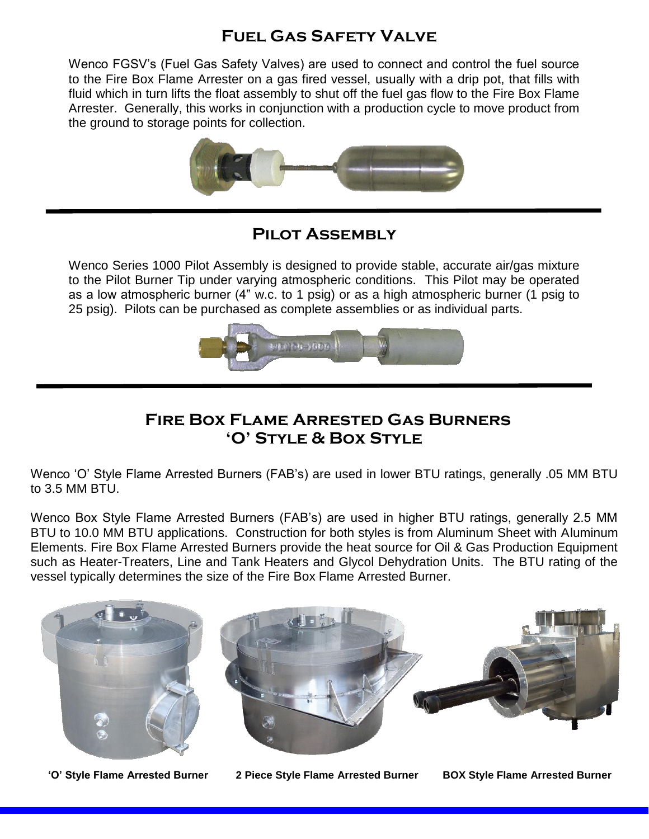# **Fuel Gas Safety Valve**

Wenco FGSV's (Fuel Gas Safety Valves) are used to connect and control the fuel source to the Fire Box Flame Arrester on a gas fired vessel, usually with a drip pot, that fills with fluid which in turn lifts the float assembly to shut off the fuel gas flow to the Fire Box Flame Arrester. Generally, this works in conjunction with a production cycle to move product from the ground to storage points for collection.



#### **Pilot Assembly**

Wenco Series 1000 Pilot Assembly is designed to provide stable, accurate air/gas mixture to the Pilot Burner Tip under varying atmospheric conditions. This Pilot may be operated as a low atmospheric burner (4" w.c. to 1 psig) or as a high atmospheric burner (1 psig to 25 psig). Pilots can be purchased as complete assemblies or as individual parts.



## **Fire Box Flame Arrested Gas Burners 'O' Style & Box Style**

Wenco 'O' Style Flame Arrested Burners (FAB's) are used in lower BTU ratings, generally .05 MM BTU to 3.5 MM BTU.

Wenco Box Style Flame Arrested Burners (FAB's) are used in higher BTU ratings, generally 2.5 MM BTU to 10.0 MM BTU applications. Construction for both styles is from Aluminum Sheet with Aluminum Elements. Fire Box Flame Arrested Burners provide the heat source for Oil & Gas Production Equipment such as Heater-Treaters, Line and Tank Heaters and Glycol Dehydration Units. The BTU rating of the vessel typically determines the size of the Fire Box Flame Arrested Burner.



 **'O' Style Flame Arrested Burner 2 Piece Style Flame Arrested Burner BOX Style Flame Arrested Burner**